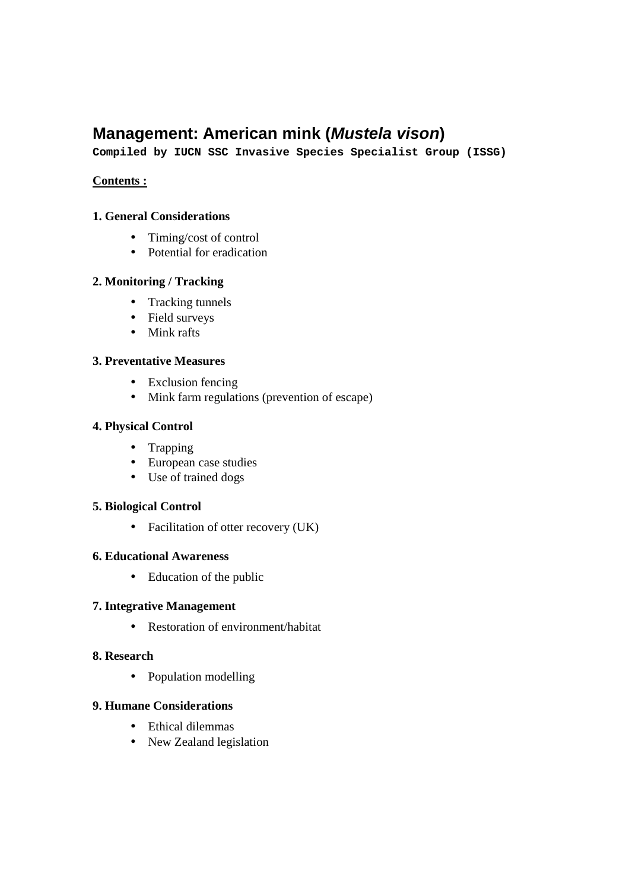# **Management: American mink (Mustela vison)**

**Compiled by IUCN SSC Invasive Species Specialist Group (ISSG)** 

#### **Contents :**

#### **1. General Considerations**

- Timing/cost of control
- Potential for eradication

#### **2. Monitoring / Tracking**

- Tracking tunnels
- Field surveys
- Mink rafts

#### **3. Preventative Measures**

- Exclusion fencing
- Mink farm regulations (prevention of escape)

#### **4. Physical Control**

- Trapping
- European case studies
- Use of trained dogs

#### **5. Biological Control**

• Facilitation of otter recovery (UK)

#### **6. Educational Awareness**

• Education of the public

#### **7. Integrative Management**

• Restoration of environment/habitat

#### **8. Research**

• Population modelling

#### **9. Humane Considerations**

- Ethical dilemmas
- New Zealand legislation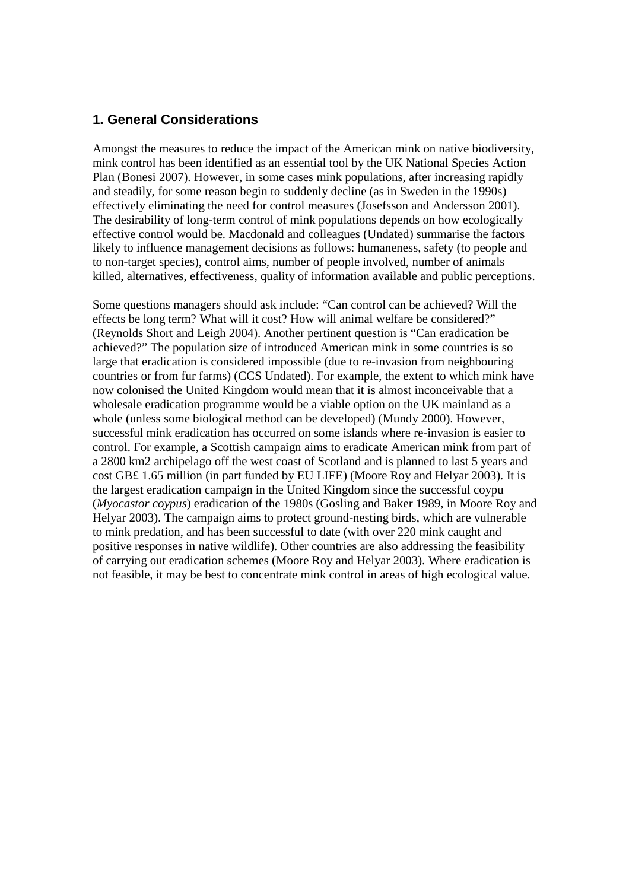#### **1. General Considerations**

Amongst the measures to reduce the impact of the American mink on native biodiversity, mink control has been identified as an essential tool by the UK National Species Action Plan (Bonesi 2007). However, in some cases mink populations, after increasing rapidly and steadily, for some reason begin to suddenly decline (as in Sweden in the 1990s) effectively eliminating the need for control measures (Josefsson and Andersson 2001). The desirability of long-term control of mink populations depends on how ecologically effective control would be. Macdonald and colleagues (Undated) summarise the factors likely to influence management decisions as follows: humaneness, safety (to people and to non-target species), control aims, number of people involved, number of animals killed, alternatives, effectiveness, quality of information available and public perceptions.

Some questions managers should ask include: "Can control can be achieved? Will the effects be long term? What will it cost? How will animal welfare be considered?" (Reynolds Short and Leigh 2004). Another pertinent question is "Can eradication be achieved?" The population size of introduced American mink in some countries is so large that eradication is considered impossible (due to re-invasion from neighbouring countries or from fur farms) (CCS Undated). For example, the extent to which mink have now colonised the United Kingdom would mean that it is almost inconceivable that a wholesale eradication programme would be a viable option on the UK mainland as a whole (unless some biological method can be developed) (Mundy 2000). However, successful mink eradication has occurred on some islands where re-invasion is easier to control. For example, a Scottish campaign aims to eradicate American mink from part of a 2800 km2 archipelago off the west coast of Scotland and is planned to last 5 years and cost GB£ 1.65 million (in part funded by EU LIFE) (Moore Roy and Helyar 2003). It is the largest eradication campaign in the United Kingdom since the successful coypu (*Myocastor coypus*) eradication of the 1980s (Gosling and Baker 1989, in Moore Roy and Helyar 2003). The campaign aims to protect ground-nesting birds, which are vulnerable to mink predation, and has been successful to date (with over 220 mink caught and positive responses in native wildlife). Other countries are also addressing the feasibility of carrying out eradication schemes (Moore Roy and Helyar 2003). Where eradication is not feasible, it may be best to concentrate mink control in areas of high ecological value.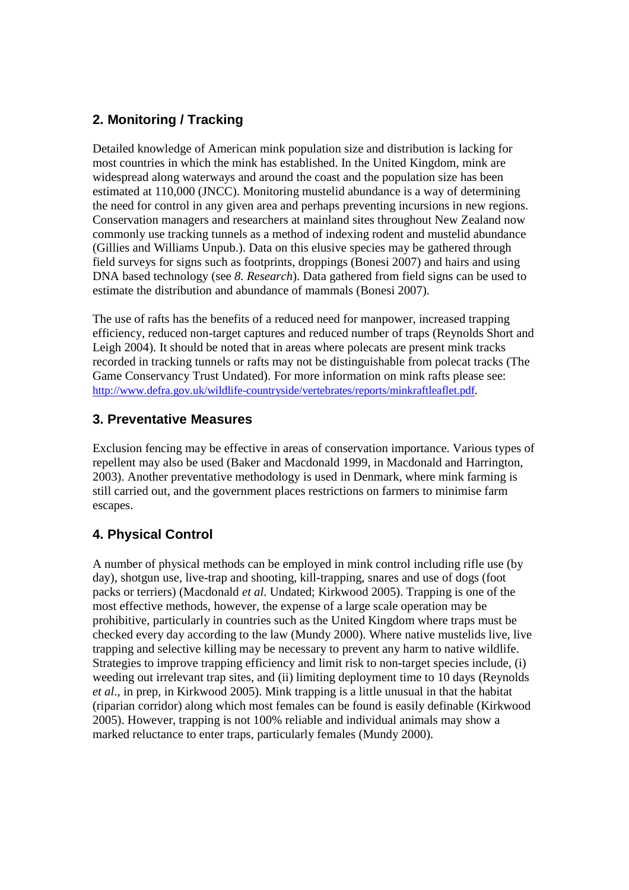# **2. Monitoring / Tracking**

Detailed knowledge of American mink population size and distribution is lacking for most countries in which the mink has established. In the United Kingdom, mink are widespread along waterways and around the coast and the population size has been estimated at 110,000 (JNCC). Monitoring mustelid abundance is a way of determining the need for control in any given area and perhaps preventing incursions in new regions. Conservation managers and researchers at mainland sites throughout New Zealand now commonly use tracking tunnels as a method of indexing rodent and mustelid abundance (Gillies and Williams Unpub.). Data on this elusive species may be gathered through field surveys for signs such as footprints, droppings (Bonesi 2007) and hairs and using DNA based technology (see *8. Research*). Data gathered from field signs can be used to estimate the distribution and abundance of mammals (Bonesi 2007).

The use of rafts has the benefits of a reduced need for manpower, increased trapping efficiency, reduced non-target captures and reduced number of traps (Reynolds Short and Leigh 2004). It should be noted that in areas where polecats are present mink tracks recorded in tracking tunnels or rafts may not be distinguishable from polecat tracks (The Game Conservancy Trust Undated). For more information on mink rafts please see: http://www.defra.gov.uk/wildlife-countryside/vertebrates/reports/minkraftleaflet.pdf.

## **3. Preventative Measures**

Exclusion fencing may be effective in areas of conservation importance. Various types of repellent may also be used (Baker and Macdonald 1999, in Macdonald and Harrington, 2003). Another preventative methodology is used in Denmark, where mink farming is still carried out, and the government places restrictions on farmers to minimise farm escapes.

# **4. Physical Control**

A number of physical methods can be employed in mink control including rifle use (by day), shotgun use, live-trap and shooting, kill-trapping, snares and use of dogs (foot packs or terriers) (Macdonald *et al*. Undated; Kirkwood 2005). Trapping is one of the most effective methods, however, the expense of a large scale operation may be prohibitive, particularly in countries such as the United Kingdom where traps must be checked every day according to the law (Mundy 2000). Where native mustelids live, live trapping and selective killing may be necessary to prevent any harm to native wildlife. Strategies to improve trapping efficiency and limit risk to non-target species include, (i) weeding out irrelevant trap sites, and (ii) limiting deployment time to 10 days (Reynolds *et al*., in prep, in Kirkwood 2005). Mink trapping is a little unusual in that the habitat (riparian corridor) along which most females can be found is easily definable (Kirkwood 2005). However, trapping is not 100% reliable and individual animals may show a marked reluctance to enter traps, particularly females (Mundy 2000).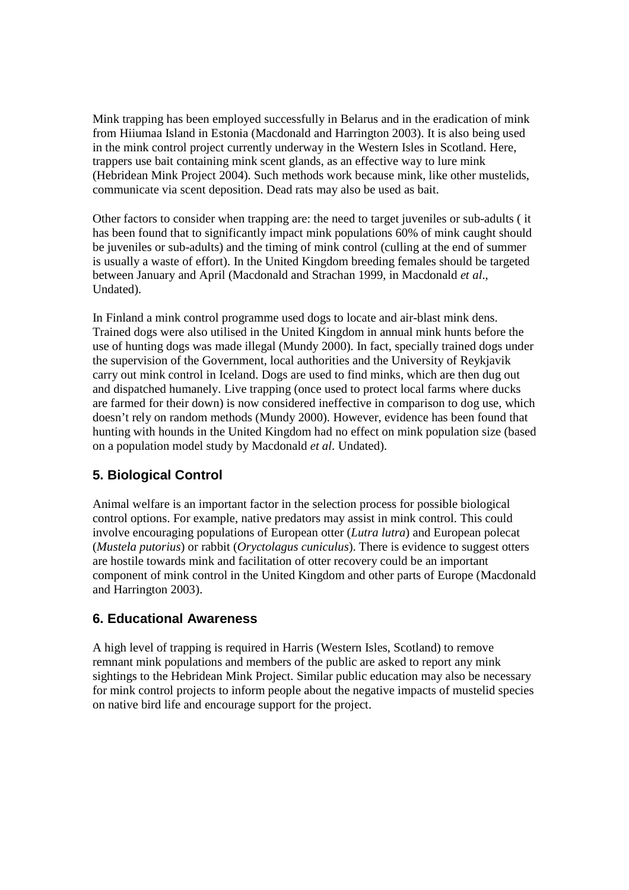Mink trapping has been employed successfully in Belarus and in the eradication of mink from Hiiumaa Island in Estonia (Macdonald and Harrington 2003). It is also being used in the mink control project currently underway in the Western Isles in Scotland. Here, trappers use bait containing mink scent glands, as an effective way to lure mink (Hebridean Mink Project 2004). Such methods work because mink, like other mustelids, communicate via scent deposition. Dead rats may also be used as bait.

Other factors to consider when trapping are: the need to target juveniles or sub-adults ( it has been found that to significantly impact mink populations 60% of mink caught should be juveniles or sub-adults) and the timing of mink control (culling at the end of summer is usually a waste of effort). In the United Kingdom breeding females should be targeted between January and April (Macdonald and Strachan 1999, in Macdonald *et al*., Undated).

In Finland a mink control programme used dogs to locate and air-blast mink dens. Trained dogs were also utilised in the United Kingdom in annual mink hunts before the use of hunting dogs was made illegal (Mundy 2000). In fact, specially trained dogs under the supervision of the Government, local authorities and the University of Reykjavik carry out mink control in Iceland. Dogs are used to find minks, which are then dug out and dispatched humanely. Live trapping (once used to protect local farms where ducks are farmed for their down) is now considered ineffective in comparison to dog use, which doesn't rely on random methods (Mundy 2000). However, evidence has been found that hunting with hounds in the United Kingdom had no effect on mink population size (based on a population model study by Macdonald *et al*. Undated).

# **5. Biological Control**

Animal welfare is an important factor in the selection process for possible biological control options. For example, native predators may assist in mink control. This could involve encouraging populations of European otter (*Lutra lutra*) and European polecat (*Mustela putorius*) or rabbit (*Oryctolagus cuniculus*). There is evidence to suggest otters are hostile towards mink and facilitation of otter recovery could be an important component of mink control in the United Kingdom and other parts of Europe (Macdonald and Harrington 2003).

## **6. Educational Awareness**

A high level of trapping is required in Harris (Western Isles, Scotland) to remove remnant mink populations and members of the public are asked to report any mink sightings to the Hebridean Mink Project. Similar public education may also be necessary for mink control projects to inform people about the negative impacts of mustelid species on native bird life and encourage support for the project.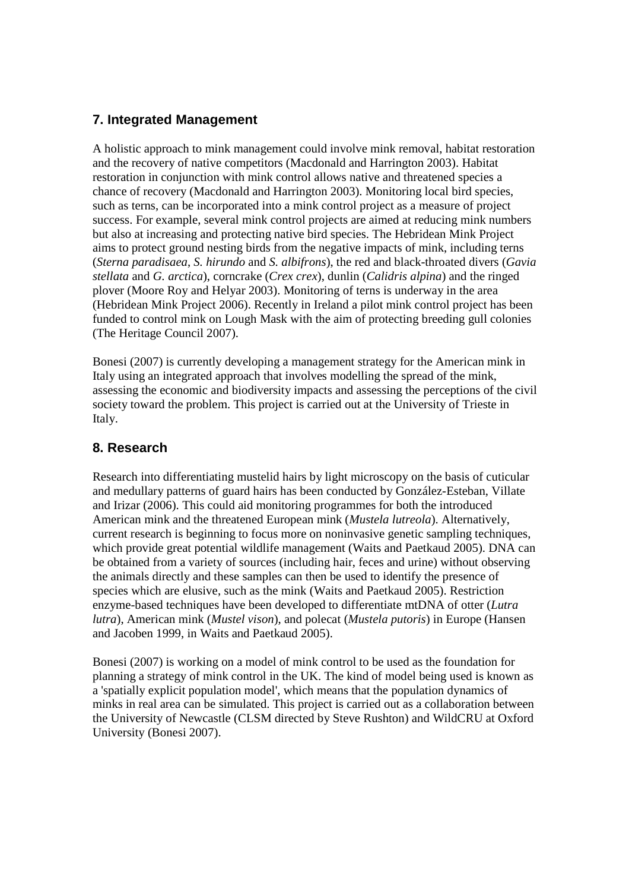# **7. Integrated Management**

A holistic approach to mink management could involve mink removal, habitat restoration and the recovery of native competitors (Macdonald and Harrington 2003). Habitat restoration in conjunction with mink control allows native and threatened species a chance of recovery (Macdonald and Harrington 2003). Monitoring local bird species, such as terns, can be incorporated into a mink control project as a measure of project success. For example, several mink control projects are aimed at reducing mink numbers but also at increasing and protecting native bird species. The Hebridean Mink Project aims to protect ground nesting birds from the negative impacts of mink, including terns (*Sterna paradisaea*, *S. hirundo* and *S. albifrons*), the red and black-throated divers (*Gavia stellata* and *G. arctica*), corncrake (*Crex crex*), dunlin (*Calidris alpina*) and the ringed plover (Moore Roy and Helyar 2003). Monitoring of terns is underway in the area (Hebridean Mink Project 2006). Recently in Ireland a pilot mink control project has been funded to control mink on Lough Mask with the aim of protecting breeding gull colonies (The Heritage Council 2007).

Bonesi (2007) is currently developing a management strategy for the American mink in Italy using an integrated approach that involves modelling the spread of the mink, assessing the economic and biodiversity impacts and assessing the perceptions of the civil society toward the problem. This project is carried out at the University of Trieste in Italy.

## **8. Research**

Research into differentiating mustelid hairs by light microscopy on the basis of cuticular and medullary patterns of guard hairs has been conducted by González-Esteban, Villate and Irizar (2006). This could aid monitoring programmes for both the introduced American mink and the threatened European mink (*Mustela lutreola*). Alternatively, current research is beginning to focus more on noninvasive genetic sampling techniques, which provide great potential wildlife management (Waits and Paetkaud 2005). DNA can be obtained from a variety of sources (including hair, feces and urine) without observing the animals directly and these samples can then be used to identify the presence of species which are elusive, such as the mink (Waits and Paetkaud 2005). Restriction enzyme-based techniques have been developed to differentiate mtDNA of otter (*Lutra lutra*), American mink (*Mustel vison*), and polecat (*Mustela putoris*) in Europe (Hansen and Jacoben 1999, in Waits and Paetkaud 2005).

Bonesi (2007) is working on a model of mink control to be used as the foundation for planning a strategy of mink control in the UK. The kind of model being used is known as a 'spatially explicit population model', which means that the population dynamics of minks in real area can be simulated. This project is carried out as a collaboration between the University of Newcastle (CLSM directed by Steve Rushton) and WildCRU at Oxford University (Bonesi 2007).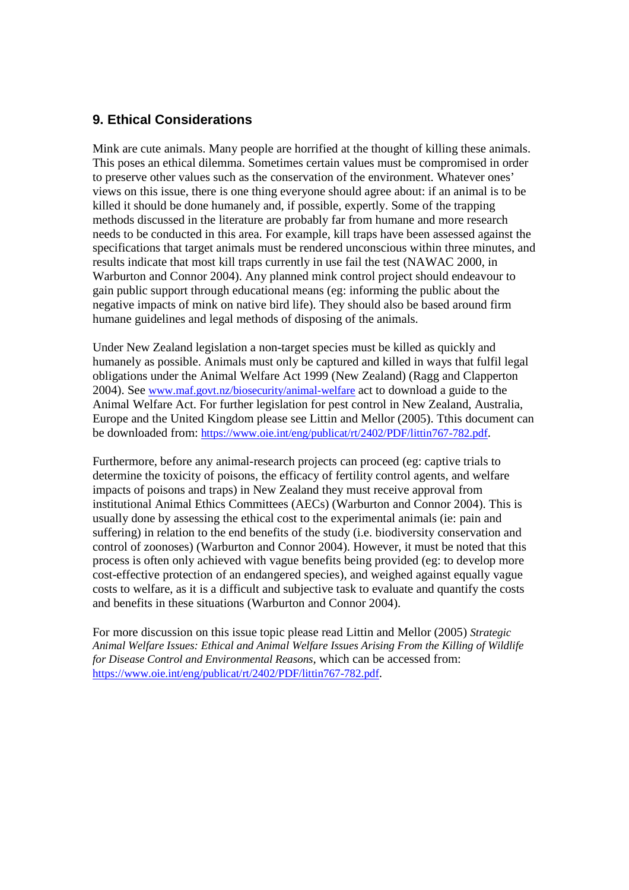### **9. Ethical Considerations**

Mink are cute animals. Many people are horrified at the thought of killing these animals. This poses an ethical dilemma. Sometimes certain values must be compromised in order to preserve other values such as the conservation of the environment. Whatever ones' views on this issue, there is one thing everyone should agree about: if an animal is to be killed it should be done humanely and, if possible, expertly. Some of the trapping methods discussed in the literature are probably far from humane and more research needs to be conducted in this area. For example, kill traps have been assessed against the specifications that target animals must be rendered unconscious within three minutes, and results indicate that most kill traps currently in use fail the test (NAWAC 2000, in Warburton and Connor 2004). Any planned mink control project should endeavour to gain public support through educational means (eg: informing the public about the negative impacts of mink on native bird life). They should also be based around firm humane guidelines and legal methods of disposing of the animals.

Under New Zealand legislation a non-target species must be killed as quickly and humanely as possible. Animals must only be captured and killed in ways that fulfil legal obligations under the Animal Welfare Act 1999 (New Zealand) (Ragg and Clapperton 2004). See www.maf.govt.nz/biosecurity/animal-welfare act to download a guide to the Animal Welfare Act. For further legislation for pest control in New Zealand, Australia, Europe and the United Kingdom please see Littin and Mellor (2005). Tthis document can be downloaded from: https://www.oie.int/eng/publicat/rt/2402/PDF/littin767-782.pdf.

Furthermore, before any animal-research projects can proceed (eg: captive trials to determine the toxicity of poisons, the efficacy of fertility control agents, and welfare impacts of poisons and traps) in New Zealand they must receive approval from institutional Animal Ethics Committees (AECs) (Warburton and Connor 2004). This is usually done by assessing the ethical cost to the experimental animals (ie: pain and suffering) in relation to the end benefits of the study (i.e. biodiversity conservation and control of zoonoses) (Warburton and Connor 2004). However, it must be noted that this process is often only achieved with vague benefits being provided (eg: to develop more cost-effective protection of an endangered species), and weighed against equally vague costs to welfare, as it is a difficult and subjective task to evaluate and quantify the costs and benefits in these situations (Warburton and Connor 2004).

For more discussion on this issue topic please read Littin and Mellor (2005) *Strategic Animal Welfare Issues: Ethical and Animal Welfare Issues Arising From the Killing of Wildlife for Disease Control and Environmental Reasons,* which can be accessed from: https://www.oie.int/eng/publicat/rt/2402/PDF/littin767-782.pdf.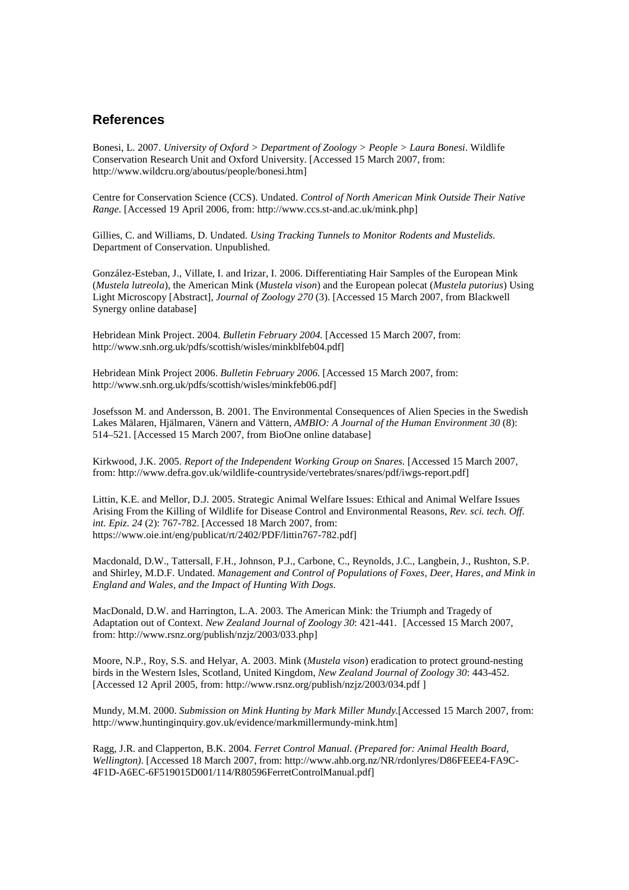#### **References**

Bonesi, L. 2007. *University of Oxford > Department of Zoology > People > Laura Bonesi.* Wildlife Conservation Research Unit and Oxford University. [Accessed 15 March 2007, from: http://www.wildcru.org/aboutus/people/bonesi.htm]

Centre for Conservation Science (CCS). Undated. *Control of North American Mink Outside Their Native Range.* [Accessed 19 April 2006, from: http://www.ccs.st-and.ac.uk/mink.php]

Gillies, C. and Williams, D. Undated. *Using Tracking Tunnels to Monitor Rodents and Mustelids.* Department of Conservation. Unpublished.

González-Esteban, J., Villate, I. and Irizar, I. 2006. Differentiating Hair Samples of the European Mink (*Mustela lutreola*), the American Mink (*Mustela vison*) and the European polecat (*Mustela putorius*) Using Light Microscopy [Abstract], *Journal of Zoology 270* (3). [Accessed 15 March 2007, from Blackwell Synergy online database]

Hebridean Mink Project. 2004. *Bulletin February 2004.* [Accessed 15 March 2007, from: http://www.snh.org.uk/pdfs/scottish/wisles/minkblfeb04.pdf]

Hebridean Mink Project 2006. *Bulletin February 2006.* [Accessed 15 March 2007, from: http://www.snh.org.uk/pdfs/scottish/wisles/minkfeb06.pdf]

Josefsson M. and Andersson, B. 2001. The Environmental Consequences of Alien Species in the Swedish Lakes Mälaren, Hjälmaren, Vänern and Vättern, *AMBIO: A Journal of the Human Environment 30* (8): 514–521. [Accessed 15 March 2007, from BioOne online database]

Kirkwood, J.K. 2005. *Report of the Independent Working Group on Snares.* [Accessed 15 March 2007, from: http://www.defra.gov.uk/wildlife-countryside/vertebrates/snares/pdf/iwgs-report.pdf]

Littin, K.E. and Mellor, D.J. 2005. Strategic Animal Welfare Issues: Ethical and Animal Welfare Issues Arising From the Killing of Wildlife for Disease Control and Environmental Reasons, *Rev. sci. tech. Off. int. Epiz. 24* (2): 767-782. [Accessed 18 March 2007, from: https://www.oie.int/eng/publicat/rt/2402/PDF/littin767-782.pdf]

Macdonald, D.W., Tattersall, F.H., Johnson, P.J., Carbone, C., Reynolds, J.C., Langbein, J., Rushton, S.P. and Shirley, M.D.F. Undated. *Management and Control of Populations of Foxes, Deer, Hares, and Mink in England and Wales, and the Impact of Hunting With Dogs.* 

MacDonald, D.W. and Harrington, L.A. 2003. The American Mink: the Triumph and Tragedy of Adaptation out of Context. *New Zealand Journal of Zoology 30*: 421-441. [Accessed 15 March 2007, from: http://www.rsnz.org/publish/nzjz/2003/033.php]

Moore, N.P., Roy, S.S. and Helyar, A. 2003. Mink (*Mustela vison*) eradication to protect ground-nesting birds in the Western Isles, Scotland, United Kingdom, *New Zealand Journal of Zoology 30*: 443-452. [Accessed 12 April 2005, from: http://www.rsnz.org/publish/nzjz/2003/034.pdf ]

Mundy, M.M. 2000. *Submission on Mink Hunting by Mark Miller Mundy.*[Accessed 15 March 2007, from: http://www.huntinginquiry.gov.uk/evidence/markmillermundy-mink.htm]

Ragg, J.R. and Clapperton, B.K. 2004. *Ferret Control Manual. (Prepared for: Animal Health Board, Wellington).* [Accessed 18 March 2007, from: http://www.ahb.org.nz/NR/rdonlyres/D86FEEE4-FA9C-4F1D-A6EC-6F519015D001/114/R80596FerretControlManual.pdf]